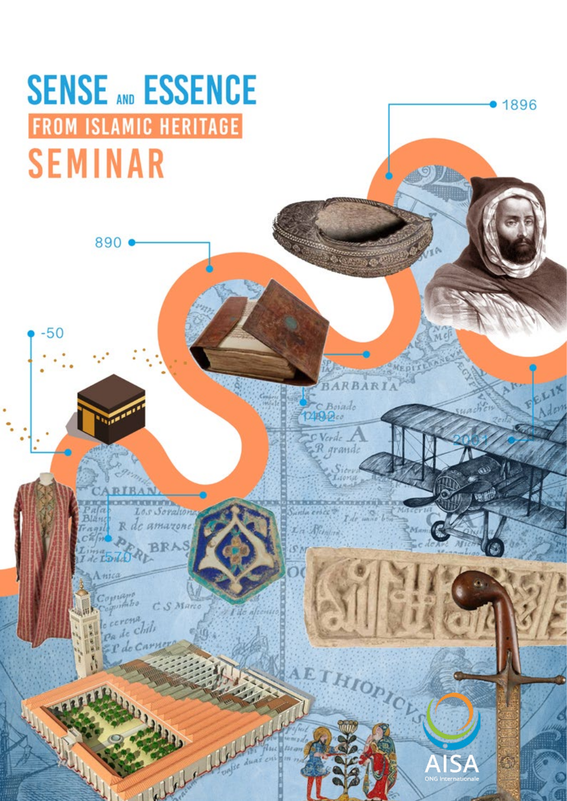# **SENSE AND ESSENCE FROM ISLAMIC HERITAGE SEMINAR**

890

 $-50$ 

Los Soration  $312111$ R de amazoi

C<sub>S</sub> Marco tabo **CCCCCHA** chili Pa de

 $721 kL$ 

Nemline

BARBAR

C Boiado<br>149200

 $\circ$  Verde R grande

IS,

PICHS

• 1896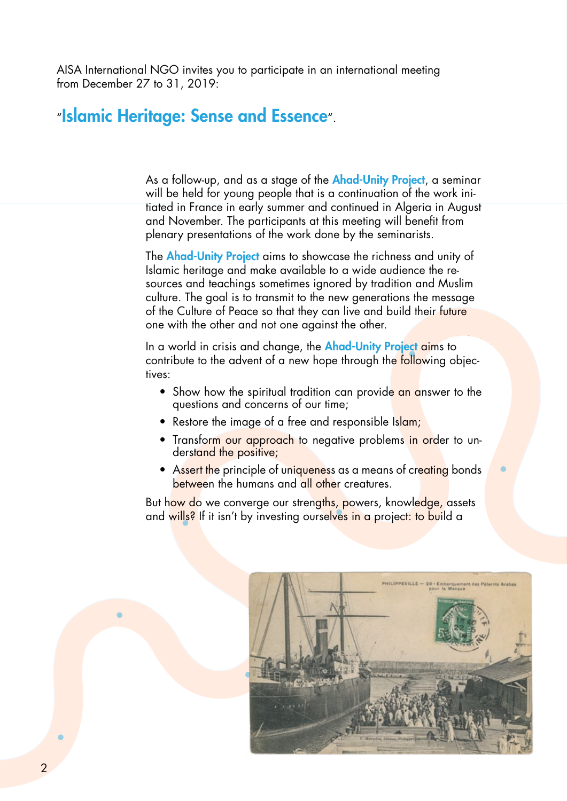AISA International NGO invites you to participate in an international meeting from December 27 to 31, 2019:

### "Islamic Heritage: Sense and Essence".

As a follow-up, and as a stage of the **Ahad-Unity Project**, a seminar will be held for young people that is a continuation of the work initiated in France in early summer and continued in Algeria in August and November. The participants at this meeting will benefit from plenary presentations of the work done by the seminarists.

The **Ahad-Unity Project** aims to showcase the richness and unity of Islamic heritage and make available to a wide audience the resources and teachings sometimes ignored by tradition and Muslim culture. The goal is to transmit to the new generations the message of the Culture of Peace so that they can live and build their future one with the other and not one against the other.

In a world in crisis and change, the **Ahad-Unity Project aims** to contribute to the advent of a new hope through the following objectives:

- Show how the spiritual tradition can provide an answer to the questions and concerns of our time;
- Restore the image of a free and responsible Islam;
- Transform our approach to negative problems in order to understand the positive;
- Assert the principle of uniqueness as a means of creating bonds between the humans and all other creatures.

But how do we converge our strengths, powers, knowledge, assets and wills? If it isn't by investing ourselves in a project: to build a

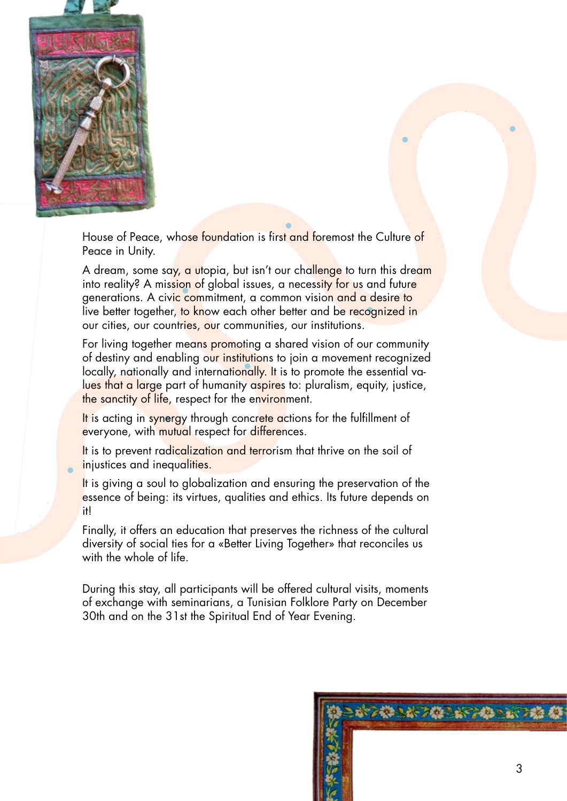

House of Peace, whose foundation is first and foremost the Culture of Peace in Unity.

A dream, some say, a utopia, but isn't our challenge to turn this dream into reality? A mission of global issues, a necessity for us and future generations. A civic commitment, a common vision and a desire to live better together, to know each other better and be recognized in our cities, our countries, our communities, our institutions.

For living together means promoting a shared vision of our community of destiny and enabling our institutions to join a movement recognized locally, nationally and internationally. It is to promote the essential values that a large part of humanity aspires to: pluralism, equity, justice, the sanctity of life, respect for the environment.

It is acting in synergy through concrete actions for the fulfillment of everyone, with mutual respect for differences.

It is to prevent radicalization and terrorism that thrive on the soil of injustices and inequalities.

It is giving a soul to globalization and ensuring the preservation of the essence of being: its virtues, qualities and ethics. Its future depends on it!

Finally, it offers an education that preserves the richness of the cultural diversity of social ties for a «Better Living Together» that reconciles us with the whole of life.

During this stay, all participants will be offered cultural visits, moments of exchange with seminarians, a Tunisian Folklore Party on December 30th and on the 31st the Spiritual End of Year Evening.

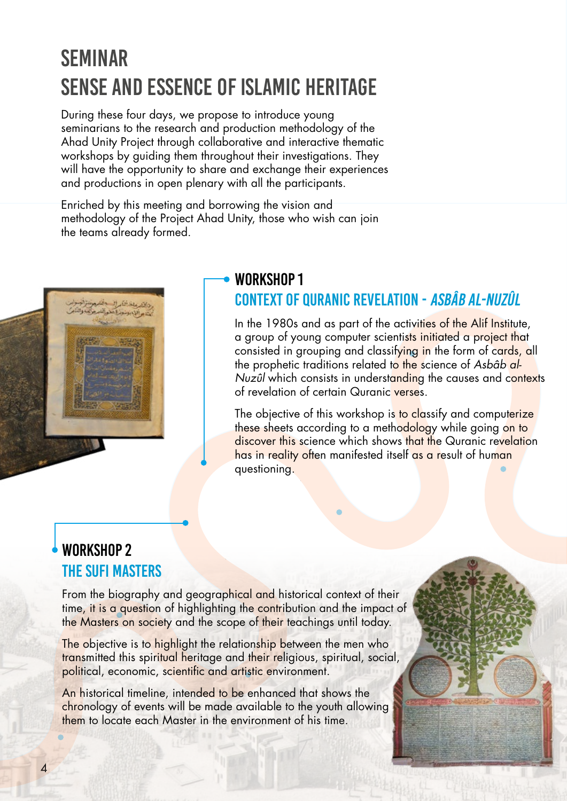## Seminar SENSE AND ESSENCE OF ISLAMIC HERITAGE

During these four days, we propose to introduce young seminarians to the research and production methodology of the Ahad Unity Project through collaborative and interactive thematic workshops by guiding them throughout their investigations. They will have the opportunity to share and exchange their experiences and productions in open plenary with all the participants.

Enriched by this meeting and borrowing the vision and methodology of the Project Ahad Unity, those who wish can join the teams already formed.



### WORKSHOP 1 CONTEXT OF QURANIC REVELATION - Asbâb al-Nuzûl

In the 1980s and as part of the activities of the Alif Institute, a group of young computer scientists initiated a project that consisted in grouping and classifying in the form of cards, all the prophetic traditions related to the science of Asbâb al-Nuzûl which consists in understanding the causes and contexts of revelation of certain Quranic verses.

The objective of this workshop is to classify and computerize these sheets according to a methodology while going on to discover this science which shows that the Quranic revelation has in reality often manifested itself as a result of human questioning.

### WORKSHOP 2 THE SUFI MASTERS

From the biography and geographical and historical context of their time, it is a question of highlighting the contribution and the impact of the Masters on society and the scope of their teachings until today.

The objective is to highlight the relationship between the men who transmitted this spiritual heritage and their religious, spiritual, social, political, economic, scientific and artistic environment.

An historical timeline, intended to be enhanced that shows the chronology of events will be made available to the youth allowing them to locate each Master in the environment of his time.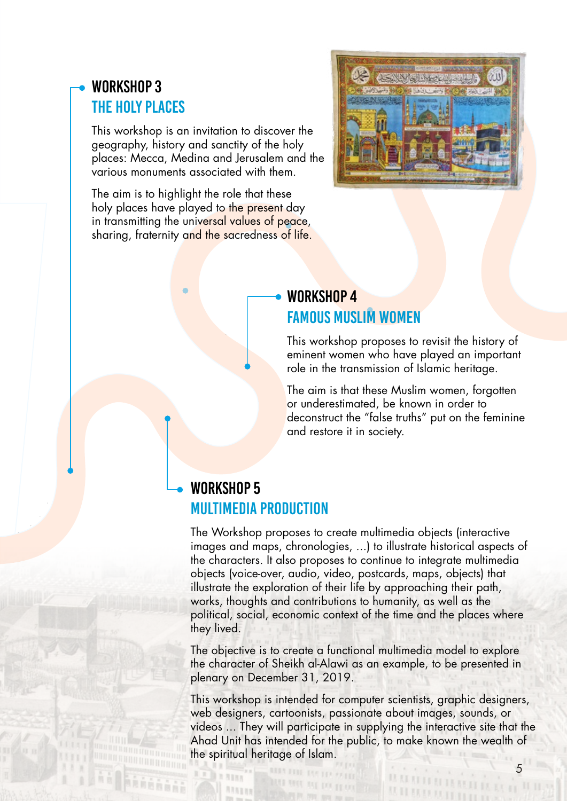### WORKSHOP 3 THE HOLY PLACES

This workshop is an invitation to discover the geography, history and sanctity of the holy places: Mecca, Medina and Jerusalem and the various monuments associated with them.

The aim is to highlight the role that these holy places have played to the present day in transmitting the universal values of peace, sharing, fraternity and the sacredness of life.



#### WORKSHOP 4 FAMOUS MUSLIM WOMEN

This workshop proposes to revisit the history of eminent women who have played an important role in the transmission of Islamic heritage.

The aim is that these Muslim women, forgotten or underestimated, be known in order to deconstruct the "false truths" put on the feminine and restore it in society.

### WORKSHOP 5 Multimedia Production

The Workshop proposes to create multimedia objects (interactive images and maps, chronologies, ...) to illustrate historical aspects of the characters. It also proposes to continue to integrate multimedia objects (voice-over, audio, video, postcards, maps, objects) that illustrate the exploration of their life by approaching their path, works, thoughts and contributions to humanity, as well as the political, social, economic context of the time and the places where they lived.

The objective is to create a functional multimedia model to explore the character of Sheikh al-Alawi as an example, to be presented in plenary on December 31, 2019.

This workshop is intended for computer scientists, graphic designers, web designers, cartoonists, passionate about images, sounds, or videos ... They will participate in supplying the interactive site that the Ahad Unit has intended for the public, to make known the wealth of the spiritual heritage of Islam.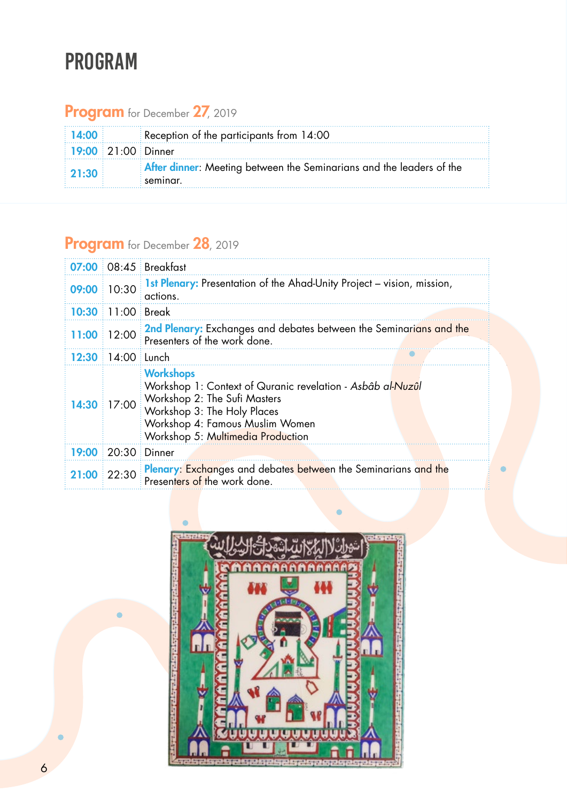### PROGRam

### Program for December 27, 2019

| $\parallel$ 14:00 $\parallel$ | Reception of the participants from $14:00$                                                    |
|-------------------------------|-----------------------------------------------------------------------------------------------|
| $19:00$ $21:00$ Dinner        |                                                                                               |
| $\vert$ 21:30 $\vert$         | <b>After dinner:</b> Meeting between the Seminarians and the leaders of the<br>$\pm$ seminar. |

### Program for December 28, 2019

|       |                    | $07:00:08:45$ Breakfast                                                                                                                                                                                               |
|-------|--------------------|-----------------------------------------------------------------------------------------------------------------------------------------------------------------------------------------------------------------------|
|       | 09:00 10:30        | <b>1st Plenary:</b> Presentation of the Ahad-Unity Project – vision, mission,<br>actions.                                                                                                                             |
| 10:30 | $\pm 11:00$ Break  |                                                                                                                                                                                                                       |
| 11:00 | 12:00              | <b>2nd Plenary:</b> Exchanges and debates between the Seminarians and the<br>Presenters of the work done.                                                                                                             |
| 12:30 | $14:00$ : Lunch    |                                                                                                                                                                                                                       |
| 14:30 | 17:00              | <b>Workshops</b><br>Workshop 1: Context of Quranic revelation - Asbâb al-Nuzûl<br>Workshop 2: The Sufi Masters<br>Workshop 3: The Holy Places<br>Workshop 4: Famous Muslim Women<br>Workshop 5: Multimedia Production |
|       | 19:00 20:30 Dinner |                                                                                                                                                                                                                       |
|       | $21:00$ 22:30      | Plenary: Exchanges and debates between the Seminarians and the<br>Presenters of the work done.                                                                                                                        |

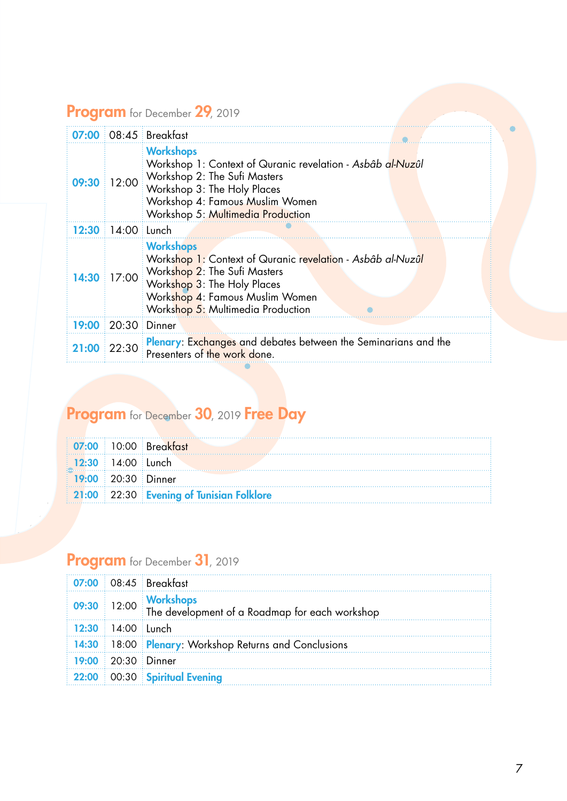### Program for December 29, 2019

|       |               | $07:00$ 08:45 Breakfast                                                                                                                                                                                                     |
|-------|---------------|-----------------------------------------------------------------------------------------------------------------------------------------------------------------------------------------------------------------------------|
| 09:30 |               | <b>Workshops</b><br>Workshop 1: Context of Quranic revelation - Asbâb al-Nuzûl<br>12:00 Workshop 2: The Sufi Masters<br>Workshop 3: The Holy Places<br>Workshop 4: Famous Muslim Women<br>Workshop 5: Multimedia Production |
| 12:30 | 14:00 : Lunch |                                                                                                                                                                                                                             |
| 14:30 |               | <b>Workshops</b><br>Workshop 1: Context of Quranic revelation - Asbâb al-Nuzûl<br>17:00 Workshop 2: The Sufi Masters<br>Workshop 3: The Holy Places<br>Workshop 4: Famous Muslim Women<br>Workshop 5: Multimedia Production |
| 19:00 |               | $20:30$ Dinner                                                                                                                                                                                                              |
| 21:00 | 122:30        | Plenary: Exchanges and debates between the Seminarians and the<br>Presenters of the work done.                                                                                                                              |

### Program for December 30, 2019 Free Day

|  |                                                              | 07:00 10:00 Breakfast                    |  |
|--|--------------------------------------------------------------|------------------------------------------|--|
|  | $12:30$ 14:00 Lunch                                          |                                          |  |
|  | $\frac{1}{2}$ 19:00 $\frac{1}{2}$ 20:30 $\frac{1}{2}$ Dinner |                                          |  |
|  |                                                              | 21:00 22:30 Evening of Tunisian Folklore |  |

### Program for December 31, 2019

|  | 09:30 12:00 Workshops<br>The development of a Roadmap for each workshop                                        |
|--|----------------------------------------------------------------------------------------------------------------|
|  |                                                                                                                |
|  | 14:30 18:00 Plenary: Workshop Returns and Conclusions                                                          |
|  |                                                                                                                |
|  | $\frac{1}{2}$ 22:00 $\frac{1}{2}$ 00:30 $\frac{1}{2}$ Spiritual Evening                                        |
|  | $\frac{1}{2}$ 07:00 $\frac{1}{2}$ 08:45 $\frac{1}{2}$ Breakfast<br>$12:30$ 14:00 Lunch<br>$19:00$ 20:30 Dinner |